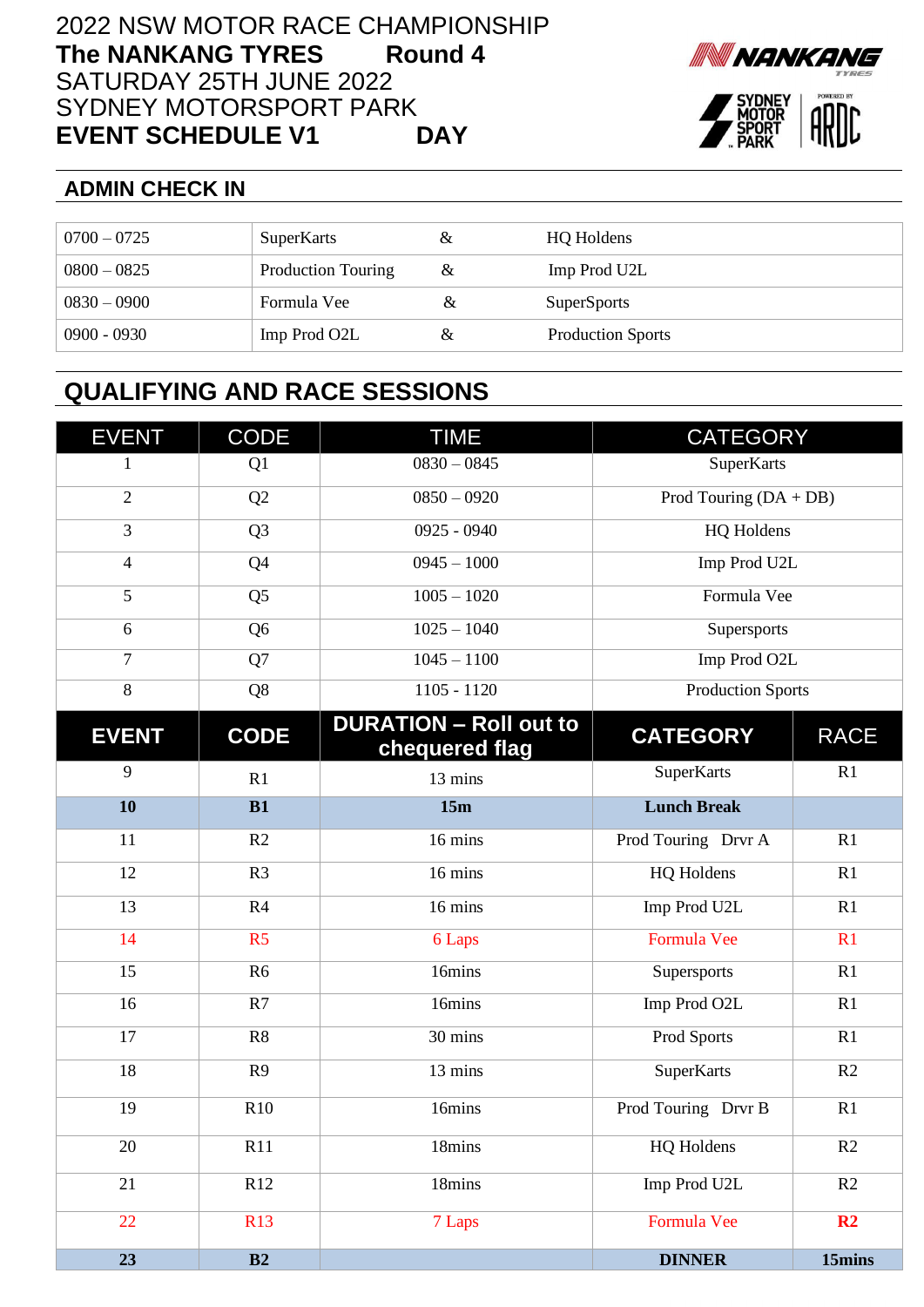## 2022 NSW MOTOR RACE CHAMPIONSHIP **The NANKANG TYRES Round 4**  SATURDAY 25TH JUNE 2022 SYDNEY MOTORSPORT PARK **EVENT SCHEDULE V1 DAY**





## **ADMIN CHECK IN**

| $0700 - 0725$ | SuperKarts                | &        | <b>HQ</b> Holdens        |
|---------------|---------------------------|----------|--------------------------|
| $0800 - 0825$ | <b>Production Touring</b> | $\alpha$ | Imp Prod U2L             |
| $0830 - 0900$ | Formula Vee               |          | <b>SuperSports</b>       |
| $0900 - 0930$ | Imp Prod O2L              |          | <b>Production Sports</b> |

## **QUALIFYING AND RACE SESSIONS**

| <b>EVENT</b>             | <b>CODE</b>    | <b>TIME</b>                                     | <b>CATEGORY</b>          |             |
|--------------------------|----------------|-------------------------------------------------|--------------------------|-------------|
| 1                        | Q1             | $0830 - 0845$                                   | SuperKarts               |             |
| $\overline{2}$           | Q2             | $0850 - 0920$                                   | Prod Touring $(DA + DB)$ |             |
| 3                        | Q <sub>3</sub> | $0925 - 0940$                                   | HQ Holdens               |             |
| $\overline{\mathcal{L}}$ | Q4             | $0945 - 1000$                                   | Imp Prod U2L             |             |
| 5                        | Q <sub>5</sub> | $1005 - 1020$                                   | Formula Vee              |             |
| 6                        | Q <sub>6</sub> | $1025 - 1040$                                   | Supersports              |             |
| $\tau$                   | Q7             | $1045 - 1100$                                   | Imp Prod O2L             |             |
| $8\,$                    | Q8             | $1105 - 1120$                                   | <b>Production Sports</b> |             |
| <b>EVENT</b>             | <b>CODE</b>    | <b>DURATION - Roll out to</b><br>chequered flag | <b>CATEGORY</b>          | <b>RACE</b> |
| 9                        | R1             | 13 mins                                         | SuperKarts               | R1          |
| 10                       | B1             | 15m                                             | <b>Lunch Break</b>       |             |
| 11                       | R <sub>2</sub> | 16 mins                                         | Prod Touring Drvr A      | R1          |
| 12                       | R <sub>3</sub> | 16 mins                                         | HQ Holdens               | R1          |
| 13                       | R4             | 16 mins                                         | Imp Prod U2L             | R1          |
| 14                       | R <sub>5</sub> | 6 Laps                                          | Formula Vee              | R1          |
| 15                       | R <sub>6</sub> | 16mins                                          | Supersports              | R1          |
| 16                       | R7             | 16mins                                          | Imp Prod O2L             | R1          |
| 17                       | R8             | 30 mins                                         | Prod Sports              | R1          |
| 18                       | R <sub>9</sub> | 13 mins                                         | SuperKarts               | R2          |
| 19                       | R10            | 16mins                                          | Prod Touring Drvr B      | R1          |
| 20                       | R11            | 18mins                                          | HQ Holdens               | R2          |
| 21                       | R12            | 18mins                                          | Imp Prod U2L             | R2          |
| 22                       | <b>R13</b>     | 7 Laps                                          | Formula Vee              | R2          |
| 23                       | B2             |                                                 | <b>DINNER</b>            | 15mins      |